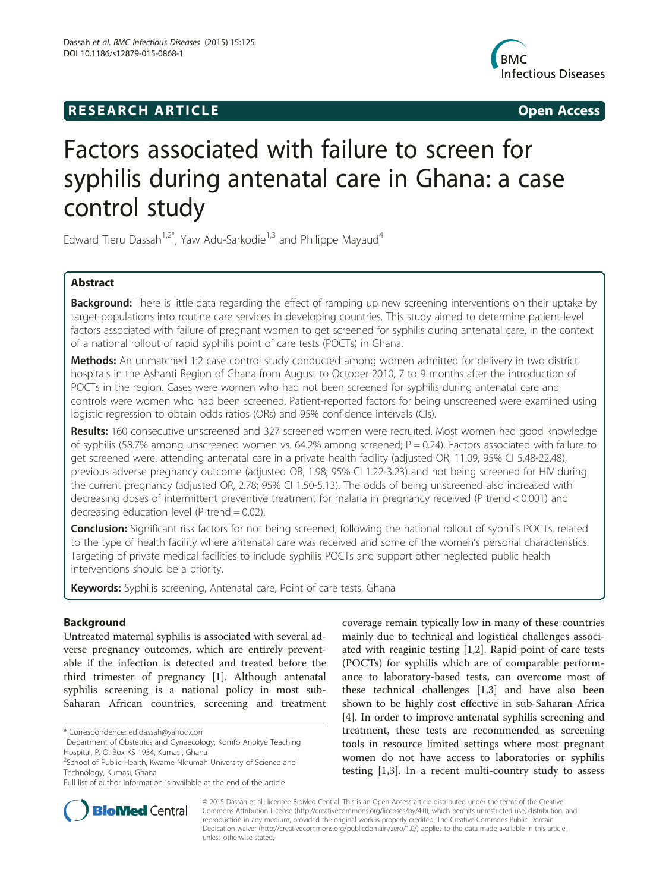# **RESEARCH ARTICLE Example 2014 CONSIDERING CONSIDERING CONSIDERING CONSIDERING CONSIDERING CONSIDERING CONSIDERING CONSIDERING CONSIDERING CONSIDERING CONSIDERING CONSIDERING CONSIDERING CONSIDERING CONSIDERING CONSIDE**



# Factors associated with failure to screen for syphilis during antenatal care in Ghana: a case control study

Edward Tieru Dassah<sup>1,2\*</sup>, Yaw Adu-Sarkodie<sup>1,3</sup> and Philippe Mayaud<sup>4</sup>

# Abstract

Background: There is little data regarding the effect of ramping up new screening interventions on their uptake by target populations into routine care services in developing countries. This study aimed to determine patient-level factors associated with failure of pregnant women to get screened for syphilis during antenatal care, in the context of a national rollout of rapid syphilis point of care tests (POCTs) in Ghana.

Methods: An unmatched 1:2 case control study conducted among women admitted for delivery in two district hospitals in the Ashanti Region of Ghana from August to October 2010, 7 to 9 months after the introduction of POCTs in the region. Cases were women who had not been screened for syphilis during antenatal care and controls were women who had been screened. Patient-reported factors for being unscreened were examined using logistic regression to obtain odds ratios (ORs) and 95% confidence intervals (CIs).

Results: 160 consecutive unscreened and 327 screened women were recruited. Most women had good knowledge of syphilis (58.7% among unscreened women vs. 64.2% among screened;  $P = 0.24$ ). Factors associated with failure to get screened were: attending antenatal care in a private health facility (adjusted OR, 11.09; 95% CI 5.48-22.48), previous adverse pregnancy outcome (adjusted OR, 1.98; 95% CI 1.22-3.23) and not being screened for HIV during the current pregnancy (adjusted OR, 2.78; 95% CI 1.50-5.13). The odds of being unscreened also increased with decreasing doses of intermittent preventive treatment for malaria in pregnancy received (P trend < 0.001) and decreasing education level ( $P$  trend = 0.02).

Conclusion: Significant risk factors for not being screened, following the national rollout of syphilis POCTs, related to the type of health facility where antenatal care was received and some of the women's personal characteristics. Targeting of private medical facilities to include syphilis POCTs and support other neglected public health interventions should be a priority.

Keywords: Syphilis screening, Antenatal care, Point of care tests, Ghana

# Background

Untreated maternal syphilis is associated with several adverse pregnancy outcomes, which are entirely preventable if the infection is detected and treated before the third trimester of pregnancy [[1\]](#page-8-0). Although antenatal syphilis screening is a national policy in most sub-Saharan African countries, screening and treatment

coverage remain typically low in many of these countries mainly due to technical and logistical challenges associated with reaginic testing [[1,2\]](#page-8-0). Rapid point of care tests (POCTs) for syphilis which are of comparable performance to laboratory-based tests, can overcome most of these technical challenges [[1,3\]](#page-8-0) and have also been shown to be highly cost effective in sub-Saharan Africa [[4\]](#page-8-0). In order to improve antenatal syphilis screening and treatment, these tests are recommended as screening tools in resource limited settings where most pregnant women do not have access to laboratories or syphilis testing [[1,3\]](#page-8-0). In a recent multi-country study to assess



© 2015 Dassah et al.; licensee BioMed Central. This is an Open Access article distributed under the terms of the Creative Commons Attribution License [\(http://creativecommons.org/licenses/by/4.0\)](http://creativecommons.org/licenses/by/4.0), which permits unrestricted use, distribution, and reproduction in any medium, provided the original work is properly credited. The Creative Commons Public Domain Dedication waiver [\(http://creativecommons.org/publicdomain/zero/1.0/](http://creativecommons.org/publicdomain/zero/1.0/)) applies to the data made available in this article, unless otherwise stated.

<sup>\*</sup> Correspondence: [edidassah@yahoo.com](mailto:edidassah@yahoo.com) <sup>1</sup>

<sup>&</sup>lt;sup>1</sup>Department of Obstetrics and Gynaecology, Komfo Anokye Teaching Hospital, P. O. Box KS 1934, Kumasi, Ghana

<sup>&</sup>lt;sup>2</sup>School of Public Health, Kwame Nkrumah University of Science and Technology, Kumasi, Ghana

Full list of author information is available at the end of the article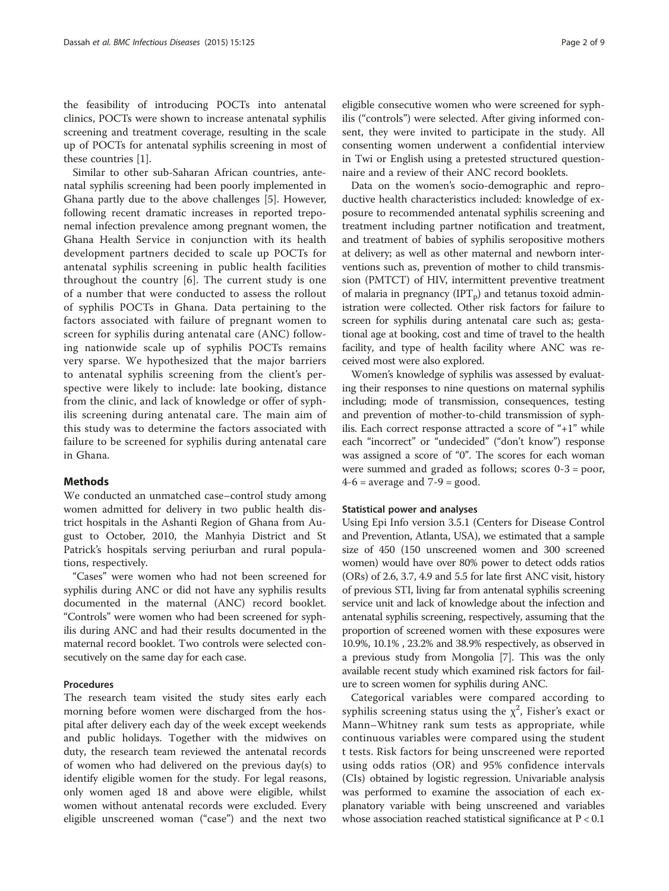the feasibility of introducing POCTs into antenatal clinics, POCTs were shown to increase antenatal syphilis screening and treatment coverage, resulting in the scale up of POCTs for antenatal syphilis screening in most of these countries [[1\]](#page-8-0).

Similar to other sub-Saharan African countries, antenatal syphilis screening had been poorly implemented in Ghana partly due to the above challenges [\[5](#page-8-0)]. However, following recent dramatic increases in reported treponemal infection prevalence among pregnant women, the Ghana Health Service in conjunction with its health development partners decided to scale up POCTs for antenatal syphilis screening in public health facilities throughout the country [\[6](#page-8-0)]. The current study is one of a number that were conducted to assess the rollout of syphilis POCTs in Ghana. Data pertaining to the factors associated with failure of pregnant women to screen for syphilis during antenatal care (ANC) following nationwide scale up of syphilis POCTs remains very sparse. We hypothesized that the major barriers to antenatal syphilis screening from the client's perspective were likely to include: late booking, distance from the clinic, and lack of knowledge or offer of syphilis screening during antenatal care. The main aim of this study was to determine the factors associated with failure to be screened for syphilis during antenatal care in Ghana.

# Methods

We conducted an unmatched case–control study among women admitted for delivery in two public health district hospitals in the Ashanti Region of Ghana from August to October, 2010, the Manhyia District and St Patrick's hospitals serving periurban and rural populations, respectively.

"Cases" were women who had not been screened for syphilis during ANC or did not have any syphilis results documented in the maternal (ANC) record booklet. "Controls" were women who had been screened for syphilis during ANC and had their results documented in the maternal record booklet. Two controls were selected consecutively on the same day for each case.

#### Procedures

The research team visited the study sites early each morning before women were discharged from the hospital after delivery each day of the week except weekends and public holidays. Together with the midwives on duty, the research team reviewed the antenatal records of women who had delivered on the previous day(s) to identify eligible women for the study. For legal reasons, only women aged 18 and above were eligible, whilst women without antenatal records were excluded. Every eligible unscreened woman ("case") and the next two eligible consecutive women who were screened for syphilis ("controls") were selected. After giving informed consent, they were invited to participate in the study. All consenting women underwent a confidential interview in Twi or English using a pretested structured questionnaire and a review of their ANC record booklets.

Data on the women's socio-demographic and reproductive health characteristics included: knowledge of exposure to recommended antenatal syphilis screening and treatment including partner notification and treatment, and treatment of babies of syphilis seropositive mothers at delivery; as well as other maternal and newborn interventions such as, prevention of mother to child transmission (PMTCT) of HIV, intermittent preventive treatment of malaria in pregnancy  $(IPT_p)$  and tetanus toxoid administration were collected. Other risk factors for failure to screen for syphilis during antenatal care such as; gestational age at booking, cost and time of travel to the health facility, and type of health facility where ANC was received most were also explored.

Women's knowledge of syphilis was assessed by evaluating their responses to nine questions on maternal syphilis including; mode of transmission, consequences, testing and prevention of mother-to-child transmission of syphilis. Each correct response attracted a score of "+1" while each "incorrect" or "undecided" ("don't know") response was assigned a score of "0". The scores for each woman were summed and graded as follows; scores 0-3 = poor,  $4-6$  = average and  $7-9$  = good.

#### Statistical power and analyses

Using Epi Info version 3.5.1 (Centers for Disease Control and Prevention, Atlanta, USA), we estimated that a sample size of 450 (150 unscreened women and 300 screened women) would have over 80% power to detect odds ratios (ORs) of 2.6, 3.7, 4.9 and 5.5 for late first ANC visit, history of previous STI, living far from antenatal syphilis screening service unit and lack of knowledge about the infection and antenatal syphilis screening, respectively, assuming that the proportion of screened women with these exposures were 10.9%, 10.1% , 23.2% and 38.9% respectively, as observed in a previous study from Mongolia [[7\]](#page-8-0). This was the only available recent study which examined risk factors for failure to screen women for syphilis during ANC.

Categorical variables were compared according to syphilis screening status using the  $\chi^2$ , Fisher's exact or Mann–Whitney rank sum tests as appropriate, while continuous variables were compared using the student t tests. Risk factors for being unscreened were reported using odds ratios (OR) and 95% confidence intervals (CIs) obtained by logistic regression. Univariable analysis was performed to examine the association of each explanatory variable with being unscreened and variables whose association reached statistical significance at  $P < 0.1$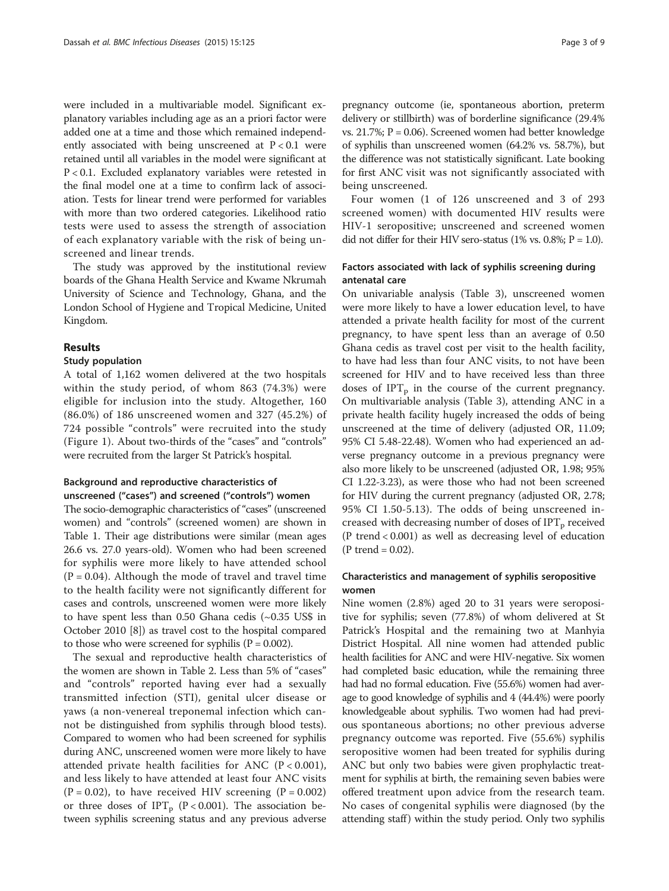were included in a multivariable model. Significant explanatory variables including age as an a priori factor were added one at a time and those which remained independently associated with being unscreened at  $P < 0.1$  were retained until all variables in the model were significant at P < 0.1. Excluded explanatory variables were retested in the final model one at a time to confirm lack of association. Tests for linear trend were performed for variables with more than two ordered categories. Likelihood ratio tests were used to assess the strength of association of each explanatory variable with the risk of being unscreened and linear trends.

The study was approved by the institutional review boards of the Ghana Health Service and Kwame Nkrumah University of Science and Technology, Ghana, and the London School of Hygiene and Tropical Medicine, United Kingdom.

#### Results

#### Study population

A total of 1,162 women delivered at the two hospitals within the study period, of whom 863 (74.3%) were eligible for inclusion into the study. Altogether, 160 (86.0%) of 186 unscreened women and 327 (45.2%) of 724 possible "controls" were recruited into the study (Figure [1\)](#page-3-0). About two-thirds of the "cases" and "controls" were recruited from the larger St Patrick's hospital.

# Background and reproductive characteristics of unscreened ("cases") and screened ("controls") women

The socio-demographic characteristics of "cases" (unscreened women) and "controls" (screened women) are shown in Table [1](#page-4-0). Their age distributions were similar (mean ages 26.6 vs. 27.0 years-old). Women who had been screened for syphilis were more likely to have attended school  $(P = 0.04)$ . Although the mode of travel and travel time to the health facility were not significantly different for cases and controls, unscreened women were more likely to have spent less than 0.50 Ghana cedis (~0.35 US\$ in October 2010 [\[8](#page-8-0)]) as travel cost to the hospital compared to those who were screened for syphilis  $(P = 0.002)$ .

The sexual and reproductive health characteristics of the women are shown in Table [2.](#page-5-0) Less than 5% of "cases" and "controls" reported having ever had a sexually transmitted infection (STI), genital ulcer disease or yaws (a non-venereal treponemal infection which cannot be distinguished from syphilis through blood tests). Compared to women who had been screened for syphilis during ANC, unscreened women were more likely to have attended private health facilities for ANC  $(P < 0.001)$ , and less likely to have attended at least four ANC visits  $(P = 0.02)$ , to have received HIV screening  $(P = 0.002)$ or three doses of  $IPT_p$  (P < 0.001). The association between syphilis screening status and any previous adverse

pregnancy outcome (ie, spontaneous abortion, preterm delivery or stillbirth) was of borderline significance (29.4% vs. 21.7%; P = 0.06). Screened women had better knowledge of syphilis than unscreened women (64.2% vs. 58.7%), but the difference was not statistically significant. Late booking for first ANC visit was not significantly associated with being unscreened.

Four women (1 of 126 unscreened and 3 of 293 screened women) with documented HIV results were HIV-1 seropositive; unscreened and screened women did not differ for their HIV sero-status (1% vs. 0.8%;  $P = 1.0$ ).

# Factors associated with lack of syphilis screening during antenatal care

On univariable analysis (Table [3\)](#page-6-0), unscreened women were more likely to have a lower education level, to have attended a private health facility for most of the current pregnancy, to have spent less than an average of 0.50 Ghana cedis as travel cost per visit to the health facility, to have had less than four ANC visits, to not have been screened for HIV and to have received less than three doses of  $IPT_p$  in the course of the current pregnancy. On multivariable analysis (Table [3\)](#page-6-0), attending ANC in a private health facility hugely increased the odds of being unscreened at the time of delivery (adjusted OR, 11.09; 95% CI 5.48-22.48). Women who had experienced an adverse pregnancy outcome in a previous pregnancy were also more likely to be unscreened (adjusted OR, 1.98; 95% CI 1.22-3.23), as were those who had not been screened for HIV during the current pregnancy (adjusted OR, 2.78; 95% CI 1.50-5.13). The odds of being unscreened increased with decreasing number of doses of  $IPT<sub>p</sub>$  received (P trend < 0.001) as well as decreasing level of education  $(P$  trend = 0.02).

# Characteristics and management of syphilis seropositive women

Nine women (2.8%) aged 20 to 31 years were seropositive for syphilis; seven (77.8%) of whom delivered at St Patrick's Hospital and the remaining two at Manhyia District Hospital. All nine women had attended public health facilities for ANC and were HIV-negative. Six women had completed basic education, while the remaining three had had no formal education. Five (55.6%) women had average to good knowledge of syphilis and 4 (44.4%) were poorly knowledgeable about syphilis. Two women had had previous spontaneous abortions; no other previous adverse pregnancy outcome was reported. Five (55.6%) syphilis seropositive women had been treated for syphilis during ANC but only two babies were given prophylactic treatment for syphilis at birth, the remaining seven babies were offered treatment upon advice from the research team. No cases of congenital syphilis were diagnosed (by the attending staff) within the study period. Only two syphilis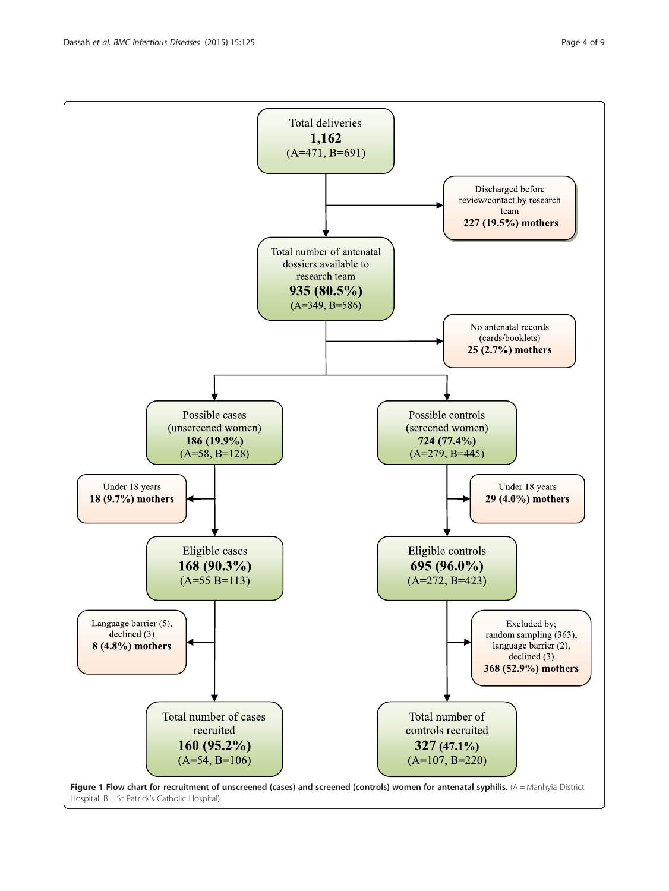<span id="page-3-0"></span>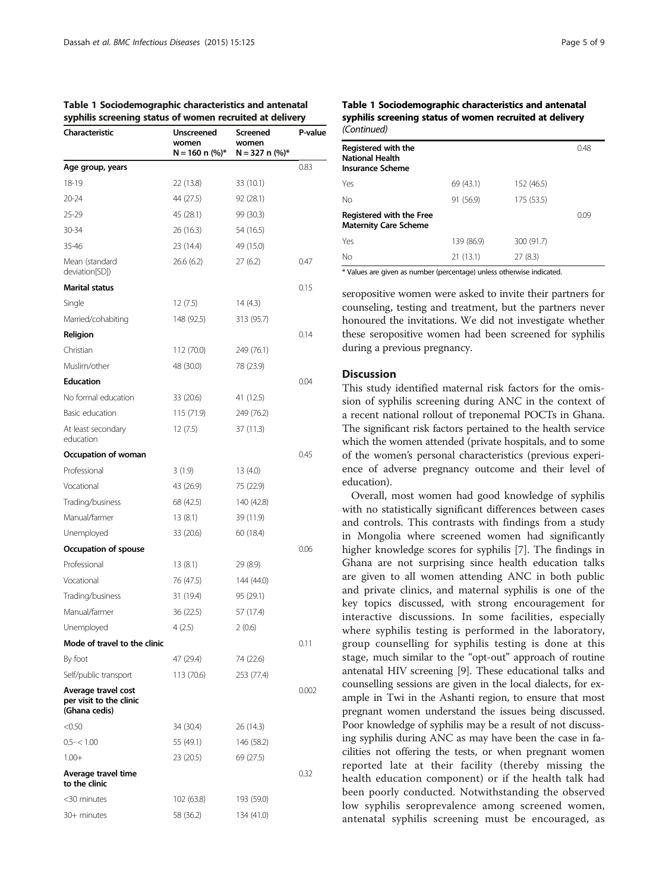| Characteristic                                                  | Unscreened<br>women<br>N = 160 n (%)* | Screened<br>women<br>$N = 327$ n (%)* | P-value |
|-----------------------------------------------------------------|---------------------------------------|---------------------------------------|---------|
| Age group, years                                                |                                       |                                       | 0.83    |
| 18-19                                                           | 22 (13.8)                             | 33 (10.1)                             |         |
| 20-24                                                           | 44 (27.5)                             | 92 (28.1)                             |         |
| 25-29                                                           | 45 (28.1)                             | 99 (30.3)                             |         |
| 30-34                                                           | 26 (16.3)                             | 54 (16.5)                             |         |
| 35-46                                                           | 23 (14.4)                             | 49 (15.0)                             |         |
| Mean (standard<br>deviation[SD])                                | 26.6 (6.2)                            | 27 (6.2)                              | 0.47    |
| <b>Marital status</b>                                           |                                       |                                       | 0.15    |
| Single                                                          | 12(7.5)                               | 14 (4.3)                              |         |
| Married/cohabiting                                              | 148 (92.5)                            | 313 (95.7)                            |         |
| Religion                                                        |                                       |                                       | 0.14    |
| Christian                                                       | 112 (70.0)                            | 249 (76.1)                            |         |
| Muslim/other                                                    | 48 (30.0)                             | 78 (23.9)                             |         |
| <b>Education</b>                                                |                                       |                                       | 0.04    |
| No formal education                                             | 33 (20.6)                             | 41 (12.5)                             |         |
| Basic education                                                 | 115 (71.9)                            | 249 (76.2)                            |         |
| At least secondary<br>education                                 | 12(7.5)                               | 37 (11.3)                             |         |
| Occupation of woman                                             |                                       |                                       | 0.45    |
| Professional                                                    | 3(1.9)                                | 13 (4.0)                              |         |
| Vocational                                                      | 43 (26.9)                             | 75 (22.9)                             |         |
| Trading/business                                                | 68 (42.5)                             | 140 (42.8)                            |         |
| Manual/farmer                                                   | 13(8.1)                               | 39 (11.9)                             |         |
| Unemployed                                                      | 33 (20.6)                             | 60 (18.4)                             |         |
| <b>Occupation of spouse</b>                                     |                                       |                                       | 0.06    |
| Professional                                                    | 13(8.1)                               | 29 (8.9)                              |         |
| Vocational                                                      | 76 (47.5)                             | 144 (44.0)                            |         |
| Trading/business                                                | 31 (19.4)                             | 95 (29.1)                             |         |
| Manual/farmer                                                   | 36 (22.5)                             | 57 (17.4)                             |         |
| Unemployed                                                      | 4(2.5)                                | 2(0.6)                                |         |
| Mode of travel to the clinic                                    |                                       |                                       | 0.11    |
| By foot                                                         | 47 (29.4)                             | 74 (22.6)                             |         |
| Self/public transport                                           | 113 (70.6)                            | 253 (77.4)                            |         |
| Average travel cost<br>per visit to the clinic<br>(Ghana cedis) |                                       |                                       | 0.002   |
| < 0.50                                                          | 34 (30.4)                             | 26 (14.3)                             |         |
| $0.5 - < 1.00$                                                  | 55 (49.1)                             | 146 (58.2)                            |         |
| $1.00+$                                                         | 23 (20.5)                             | 69 (27.5)                             |         |
| Average travel time<br>to the clinic                            |                                       |                                       | 0.32    |
| <30 minutes                                                     | 102 (63.8)                            | 193 (59.0)                            |         |
| 30+ minutes                                                     | 58 (36.2)                             | 134 (41.0)                            |         |

<span id="page-4-0"></span>Table 1 Sociodemographic characteristics and antenatal syphilis screening status of women recruited at delivery

Table 1 Sociodemographic characteristics and antenatal syphilis screening status of women recruited at delivery (Continued)

| Registered with the<br><b>National Health</b><br><b>Insurance Scheme</b> |            |            | 0.48 |
|--------------------------------------------------------------------------|------------|------------|------|
| Yes                                                                      | 69 (43.1)  | 152 (46.5) |      |
| No                                                                       | 91 (56.9)  | 175 (53.5) |      |
| <b>Registered with the Free</b><br><b>Maternity Care Scheme</b>          |            |            | 0.09 |
| Yes                                                                      | 139 (86.9) | 300 (91.7) |      |
| No                                                                       | 21(13.1)   | 27(8.3)    |      |
|                                                                          |            |            |      |

\* Values are given as number (percentage) unless otherwise indicated.

seropositive women were asked to invite their partners for counseling, testing and treatment, but the partners never honoured the invitations. We did not investigate whether these seropositive women had been screened for syphilis during a previous pregnancy.

# **Discussion**

This study identified maternal risk factors for the omission of syphilis screening during ANC in the context of a recent national rollout of treponemal POCTs in Ghana. The significant risk factors pertained to the health service which the women attended (private hospitals, and to some of the women's personal characteristics (previous experience of adverse pregnancy outcome and their level of education).

Overall, most women had good knowledge of syphilis with no statistically significant differences between cases and controls. This contrasts with findings from a study in Mongolia where screened women had significantly higher knowledge scores for syphilis [\[7](#page-8-0)]. The findings in Ghana are not surprising since health education talks are given to all women attending ANC in both public and private clinics, and maternal syphilis is one of the key topics discussed, with strong encouragement for interactive discussions. In some facilities, especially where syphilis testing is performed in the laboratory, group counselling for syphilis testing is done at this stage, much similar to the "opt-out" approach of routine antenatal HIV screening [\[9](#page-8-0)]. These educational talks and counselling sessions are given in the local dialects, for example in Twi in the Ashanti region, to ensure that most pregnant women understand the issues being discussed. Poor knowledge of syphilis may be a result of not discussing syphilis during ANC as may have been the case in facilities not offering the tests, or when pregnant women reported late at their facility (thereby missing the health education component) or if the health talk had been poorly conducted. Notwithstanding the observed low syphilis seroprevalence among screened women, antenatal syphilis screening must be encouraged, as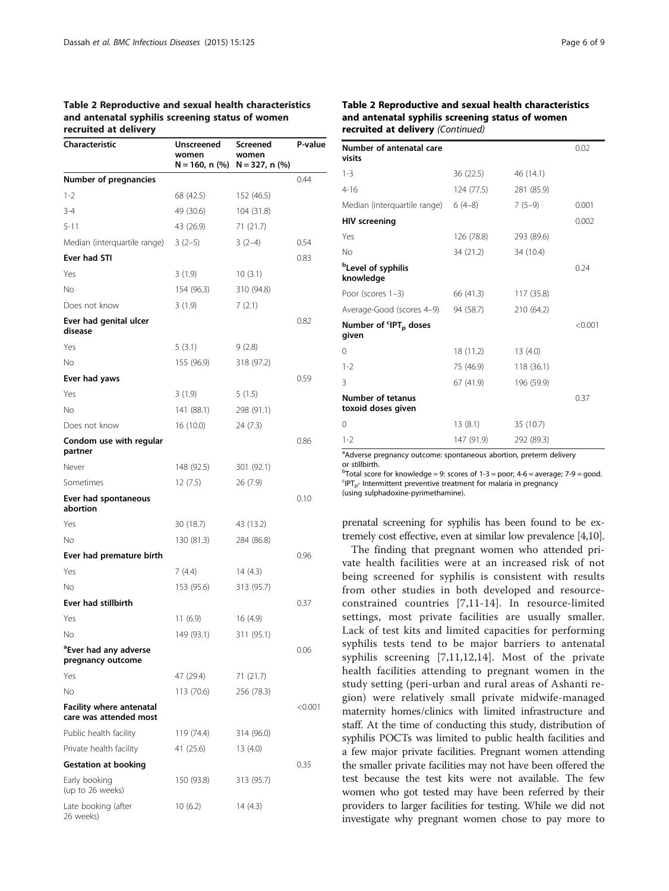#### <span id="page-5-0"></span>Table 2 Reproductive and sexual health characteristics and antenatal syphilis screening status of women recruited at delivery

| נייט מוניא מי איטווי                                      |                                       |                                           |         |
|-----------------------------------------------------------|---------------------------------------|-------------------------------------------|---------|
| Characteristic                                            | Unscreened<br>women<br>N = 160, n (%) | Screened<br>women<br>$N = 327$ , n $(\%)$ | P-value |
| Number of pregnancies                                     |                                       |                                           | 0.44    |
| $1 - 2$                                                   | 68 (42.5)                             | 152 (46.5)                                |         |
| $3 - 4$                                                   | 49 (30.6)                             | 104 (31.8)                                |         |
| $5 - 11$                                                  | 43 (26.9)                             | 71 (21.7)                                 |         |
| Median (interquartile range)                              | $3(2-5)$                              | $3(2-4)$                                  | 0.54    |
| Ever had STI                                              |                                       |                                           | 0.83    |
| Yes                                                       | 3(1.9)                                | 10(3.1)                                   |         |
| No                                                        | 154 (96.3)                            | 310 (94.8)                                |         |
| Does not know                                             | 3(1.9)                                | 7(2.1)                                    |         |
| Ever had genital ulcer<br>disease                         |                                       |                                           | 0.82    |
| Yes                                                       | 5(3.1)                                | 9(2.8)                                    |         |
| No                                                        | 155 (96.9)                            | 318 (97.2)                                |         |
| Ever had yaws                                             |                                       |                                           | 0.59    |
| Yes                                                       | 3(1.9)                                | 5(1.5)                                    |         |
| No                                                        | 141 (88.1)                            | 298 (91.1)                                |         |
| Does not know                                             | 16 (10.0)                             | 24(7.3)                                   |         |
| Condom use with regular<br>partner                        |                                       |                                           | 0.86    |
| Never                                                     | 148 (92.5)                            | 301 (92.1)                                |         |
| Sometimes                                                 | 12(7.5)                               | 26 (7.9)                                  |         |
| Ever had spontaneous<br>abortion                          |                                       |                                           | 0.10    |
| Yes                                                       | 30 (18.7)                             | 43 (13.2)                                 |         |
| No                                                        | 130 (81.3)                            | 284 (86.8)                                |         |
| Ever had premature birth                                  |                                       |                                           | 0.96    |
| Yes                                                       | 7 (4.4)                               | 14(4.3)                                   |         |
| No                                                        | 153 (95.6)                            | 313 (95.7)                                |         |
| Ever had stillbirth                                       |                                       |                                           | 0.37    |
| Yes                                                       | 11(6.9)                               | 16(4.9)                                   |         |
| No                                                        | 149 (93.1)                            | 311 (95.1)                                |         |
| <sup>a</sup> Ever had any adverse<br>pregnancy outcome    |                                       |                                           | 0.06    |
| Yes                                                       | 47 (29.4)                             | 71 (21.7)                                 |         |
| Νo                                                        | 113(70.6)                             | 256 (78.3)                                |         |
| <b>Facility where antenatal</b><br>care was attended most |                                       |                                           | < 0.001 |
| Public health facility                                    | 119 (74.4)                            | 314 (96.0)                                |         |
| Private health facility                                   | 41 (25.6)                             | 13(4.0)                                   |         |
| <b>Gestation at booking</b>                               |                                       |                                           | 0.35    |
| Early booking<br>(up to 26 weeks)                         | 150 (93.8)                            | 313 (95.7)                                |         |
| Late booking (after<br>26 weeks)                          | 10(6.2)                               | 14(4.3)                                   |         |

# Table 2 Reproductive and sexual health characteristics and antenatal syphilis screening status of women recruited at delivery (Continued)

|                                          |            | 0.02    |
|------------------------------------------|------------|---------|
| 36 (22.5)                                | 46 (14.1)  |         |
| 124 (77.5)                               | 281 (85.9) |         |
| Median (interquartile range)<br>$6(4-8)$ | $7(5-9)$   | 0.001   |
|                                          |            | 0.002   |
| 126 (78.8)                               | 293 (89.6) |         |
| 34 (21.2)                                | 34 (10.4)  |         |
|                                          |            | 0.24    |
| 66 (41.3)                                | 117 (35.8) |         |
| 94 (58.7)<br>Average-Good (scores 4–9)   | 210 (64.2) |         |
|                                          |            | < 0.001 |
| 18 (11.2)                                | 13(4.0)    |         |
| 75 (46.9)                                | 118(36.1)  |         |
| 67 (41.9)                                | 196 (59.9) |         |
|                                          |            | 0.37    |
| 13(8.1)                                  | 35 (10.7)  |         |
| 147 (91.9)                               | 292 (89.3) |         |
|                                          |            |         |

<sup>a</sup>Adverse pregnancy outcome: spontaneous abortion, preterm delivery or stillbirth.

 $^{b}$ Total score for knowledge = 9: scores of 1-3 = poor; 4-6 = average; 7-9 = good. <sup>c</sup>IPT<sub>p</sub>- Intermittent preventive treatment for malaria in pregnancy (using sulphadoxine-pyrimethamine).

prenatal screening for syphilis has been found to be extremely cost effective, even at similar low prevalence [\[4,10](#page-8-0)].

The finding that pregnant women who attended private health facilities were at an increased risk of not being screened for syphilis is consistent with results from other studies in both developed and resourceconstrained countries [[7,11-14](#page-8-0)]. In resource-limited settings, most private facilities are usually smaller. Lack of test kits and limited capacities for performing syphilis tests tend to be major barriers to antenatal syphilis screening [\[7,11,12](#page-8-0),[14\]](#page-8-0). Most of the private health facilities attending to pregnant women in the study setting (peri-urban and rural areas of Ashanti region) were relatively small private midwife-managed maternity homes/clinics with limited infrastructure and staff. At the time of conducting this study, distribution of syphilis POCTs was limited to public health facilities and a few major private facilities. Pregnant women attending the smaller private facilities may not have been offered the test because the test kits were not available. The few women who got tested may have been referred by their providers to larger facilities for testing. While we did not investigate why pregnant women chose to pay more to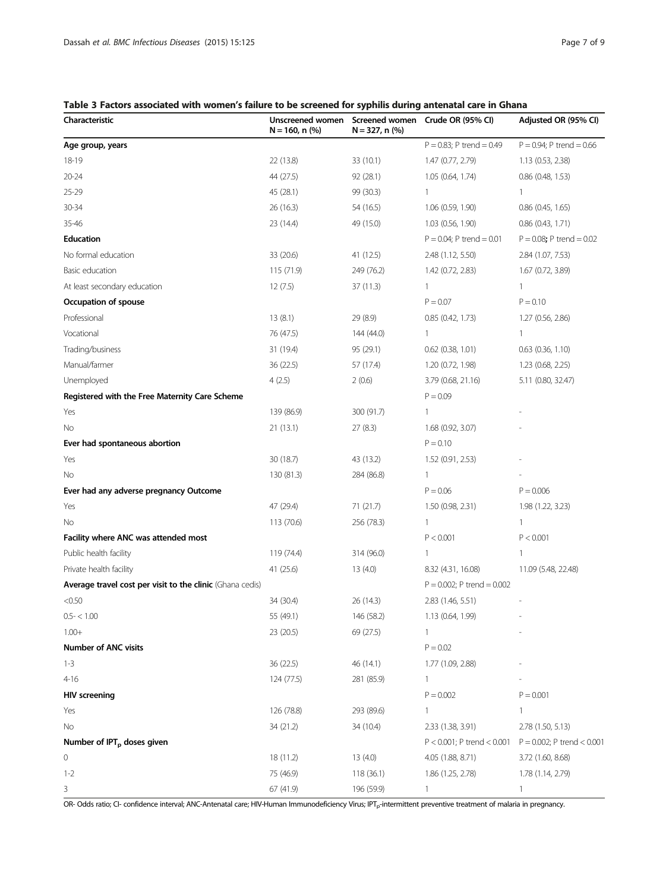# <span id="page-6-0"></span>Table 3 Factors associated with women's failure to be screened for syphilis during antenatal care in Ghana

| Characteristic                                            | Unscreened women<br>$N = 160$ , n $(\%)$ | Screened women<br>$N = 327$ , n (%) | Crude OR (95% CI)               | Adjusted OR (95% CI)          |
|-----------------------------------------------------------|------------------------------------------|-------------------------------------|---------------------------------|-------------------------------|
| Age group, years                                          |                                          |                                     | $P = 0.83$ ; P trend = 0.49     | $P = 0.94$ ; P trend = 0.66   |
| 18-19                                                     | 22 (13.8)                                | 33 (10.1)                           | 1.47 (0.77, 2.79)               | 1.13 (0.53, 2.38)             |
| $20 - 24$                                                 | 44 (27.5)                                | 92 (28.1)                           | 1.05 (0.64, 1.74)               | $0.86$ (0.48, 1.53)           |
| 25-29                                                     | 45 (28.1)                                | 99 (30.3)                           | $\mathbf{1}$                    | $\mathbf{1}$                  |
| 30-34                                                     | 26 (16.3)                                | 54 (16.5)                           | 1.06 (0.59, 1.90)               | $0.86$ (0.45, 1.65)           |
| 35-46                                                     | 23 (14.4)                                | 49 (15.0)                           | 1.03(0.56, 1.90)                | 0.86 (0.43, 1.71)             |
| <b>Education</b>                                          |                                          |                                     | $P = 0.04$ ; P trend = 0.01     | $P = 0.08$ ; P trend = 0.02   |
| No formal education                                       | 33 (20.6)                                | 41 (12.5)                           | 2.48 (1.12, 5.50)               | 2.84 (1.07, 7.53)             |
| Basic education                                           | 115 (71.9)                               | 249 (76.2)                          | 1.42 (0.72, 2.83)               | 1.67 (0.72, 3.89)             |
| At least secondary education                              | 12(7.5)                                  | 37 (11.3)                           | $\mathbf{1}$                    | $\mathbf{1}$                  |
| Occupation of spouse                                      |                                          |                                     | $P = 0.07$                      | $P = 0.10$                    |
| Professional                                              | 13(8.1)                                  | 29 (8.9)                            | 0.85(0.42, 1.73)                | 1.27 (0.56, 2.86)             |
| Vocational                                                | 76 (47.5)                                | 144 (44.0)                          | $\mathbf{1}$                    | $\mathbf{1}$                  |
| Trading/business                                          | 31 (19.4)                                | 95 (29.1)                           | $0.62$ (0.38, 1.01)             | $0.63$ $(0.36, 1.10)$         |
| Manual/farmer                                             | 36 (22.5)                                | 57 (17.4)                           | 1.20 (0.72, 1.98)               | 1.23 (0.68, 2.25)             |
| Unemployed                                                | 4(2.5)                                   | 2(0.6)                              | 3.79 (0.68, 21.16)              | 5.11 (0.80, 32.47)            |
| Registered with the Free Maternity Care Scheme            |                                          |                                     | $P = 0.09$                      |                               |
| Yes                                                       | 139 (86.9)                               | 300 (91.7)                          | $\mathbf{1}$                    |                               |
| No                                                        | 21 (13.1)                                | 27(8.3)                             | 1.68 (0.92, 3.07)               |                               |
| Ever had spontaneous abortion                             |                                          |                                     | $P = 0.10$                      |                               |
| Yes                                                       | 30 (18.7)                                | 43 (13.2)                           | 1.52 (0.91, 2.53)               |                               |
| No                                                        | 130 (81.3)                               | 284 (86.8)                          | $\mathbf{1}$                    |                               |
| Ever had any adverse pregnancy Outcome                    |                                          |                                     | $P = 0.06$                      | $P = 0.006$                   |
| Yes                                                       | 47 (29.4)                                | 71(21.7)                            | 1.50 (0.98, 2.31)               | 1.98 (1.22, 3.23)             |
| No                                                        | 113 (70.6)                               | 256 (78.3)                          | $\mathbf{1}$                    | 1                             |
| Facility where ANC was attended most                      |                                          |                                     | P < 0.001                       | P < 0.001                     |
| Public health facility                                    | 119 (74.4)                               | 314 (96.0)                          | $\mathbf{1}$                    | 1                             |
| Private health facility                                   | 41 (25.6)                                | 13 (4.0)                            | 8.32 (4.31, 16.08)              | 11.09 (5.48, 22.48)           |
| Average travel cost per visit to the clinic (Ghana cedis) |                                          |                                     | $P = 0.002$ ; P trend = 0.002   |                               |
| < 0.50                                                    | 34 (30.4)                                | 26 (14.3)                           | 2.83 (1.46, 5.51)               |                               |
| $0.5 - < 1.00$                                            | 55 (49.1)                                | 146 (58.2)                          | 1.13 (0.64, 1.99)               |                               |
| $1.00 +$                                                  | 23 (20.5)                                | 69 (27.5)                           | 1                               |                               |
| Number of ANC visits                                      |                                          |                                     | $P = 0.02$                      |                               |
| $1 - 3$                                                   | 36 (22.5)                                | 46 (14.1)                           | 1.77 (1.09, 2.88)               |                               |
| 4-16                                                      | 124 (77.5)                               | 281 (85.9)                          | 1                               |                               |
| <b>HIV screening</b>                                      |                                          |                                     | $P = 0.002$                     | $P = 0.001$                   |
| Yes                                                       | 126 (78.8)                               | 293 (89.6)                          | $\mathbf{1}$                    | 1                             |
| No                                                        | 34 (21.2)                                | 34 (10.4)                           | 2.33 (1.38, 3.91)               | 2.78 (1.50, 5.13)             |
| Number of IPT <sub>p</sub> doses given                    |                                          |                                     | $P < 0.001$ ; P trend $< 0.001$ | $P = 0.002$ ; P trend < 0.001 |
| $\mathsf{O}\xspace$                                       | 18 (11.2)                                | 13 (4.0)                            | 4.05 (1.88, 8.71)               | 3.72 (1.60, 8.68)             |
| $1 - 2$                                                   | 75 (46.9)                                | 118 (36.1)                          | 1.86 (1.25, 2.78)               | 1.78 (1.14, 2.79)             |
| 3                                                         | 67 (41.9)                                | 196 (59.9)                          | $\mathbf{1}$                    | $\mathbf{1}$                  |

OR- Odds ratio; CI- confidence interval; ANC-Antenatal care; HIV-Human Immunodeficiency Virus; IPT<sub>p</sub>-intermittent preventive treatment of malaria in pregnancy.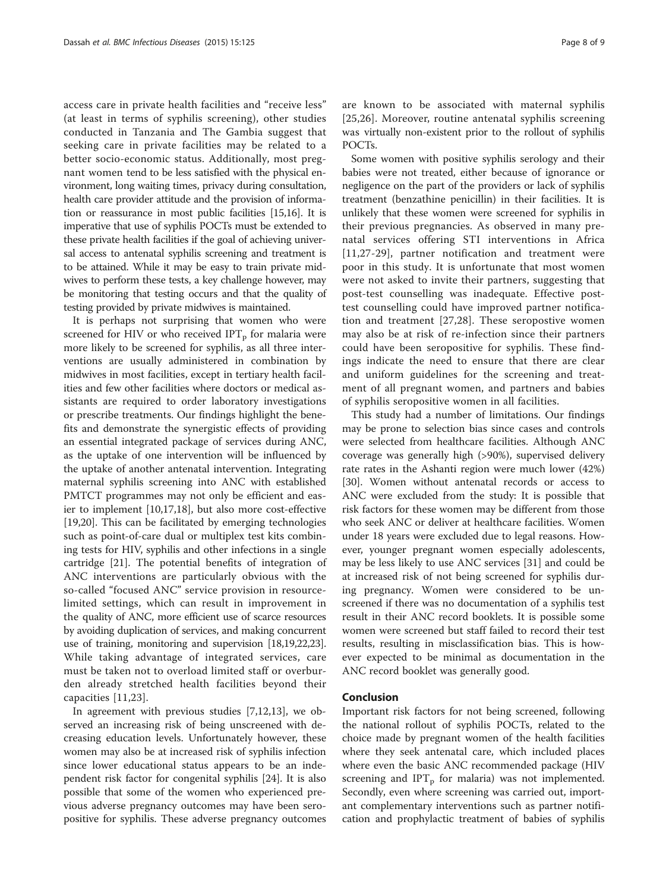access care in private health facilities and "receive less" (at least in terms of syphilis screening), other studies conducted in Tanzania and The Gambia suggest that seeking care in private facilities may be related to a better socio-economic status. Additionally, most pregnant women tend to be less satisfied with the physical environment, long waiting times, privacy during consultation, health care provider attitude and the provision of information or reassurance in most public facilities [\[15,16\]](#page-8-0). It is imperative that use of syphilis POCTs must be extended to these private health facilities if the goal of achieving universal access to antenatal syphilis screening and treatment is to be attained. While it may be easy to train private midwives to perform these tests, a key challenge however, may be monitoring that testing occurs and that the quality of testing provided by private midwives is maintained.

It is perhaps not surprising that women who were screened for HIV or who received  $IPT<sub>p</sub>$  for malaria were more likely to be screened for syphilis, as all three interventions are usually administered in combination by midwives in most facilities, except in tertiary health facilities and few other facilities where doctors or medical assistants are required to order laboratory investigations or prescribe treatments. Our findings highlight the benefits and demonstrate the synergistic effects of providing an essential integrated package of services during ANC, as the uptake of one intervention will be influenced by the uptake of another antenatal intervention. Integrating maternal syphilis screening into ANC with established PMTCT programmes may not only be efficient and easier to implement [\[10,17,18\]](#page-8-0), but also more cost-effective [[19,20\]](#page-8-0). This can be facilitated by emerging technologies such as point-of-care dual or multiplex test kits combining tests for HIV, syphilis and other infections in a single cartridge [\[21\]](#page-8-0). The potential benefits of integration of ANC interventions are particularly obvious with the so-called "focused ANC" service provision in resourcelimited settings, which can result in improvement in the quality of ANC, more efficient use of scarce resources by avoiding duplication of services, and making concurrent use of training, monitoring and supervision [\[18,19,22,23](#page-8-0)]. While taking advantage of integrated services, care must be taken not to overload limited staff or overburden already stretched health facilities beyond their capacities [[11](#page-8-0),[23\]](#page-8-0).

In agreement with previous studies [\[7,12,13](#page-8-0)], we observed an increasing risk of being unscreened with decreasing education levels. Unfortunately however, these women may also be at increased risk of syphilis infection since lower educational status appears to be an independent risk factor for congenital syphilis [\[24](#page-8-0)]. It is also possible that some of the women who experienced previous adverse pregnancy outcomes may have been seropositive for syphilis. These adverse pregnancy outcomes

are known to be associated with maternal syphilis [[25,26\]](#page-8-0). Moreover, routine antenatal syphilis screening was virtually non-existent prior to the rollout of syphilis POCTs.

Some women with positive syphilis serology and their babies were not treated, either because of ignorance or negligence on the part of the providers or lack of syphilis treatment (benzathine penicillin) in their facilities. It is unlikely that these women were screened for syphilis in their previous pregnancies. As observed in many prenatal services offering STI interventions in Africa [[11,27-29](#page-8-0)], partner notification and treatment were poor in this study. It is unfortunate that most women were not asked to invite their partners, suggesting that post-test counselling was inadequate. Effective posttest counselling could have improved partner notification and treatment [[27,28](#page-8-0)]. These seropostive women may also be at risk of re-infection since their partners could have been seropositive for syphilis. These findings indicate the need to ensure that there are clear and uniform guidelines for the screening and treatment of all pregnant women, and partners and babies of syphilis seropositive women in all facilities.

This study had a number of limitations. Our findings may be prone to selection bias since cases and controls were selected from healthcare facilities. Although ANC coverage was generally high (>90%), supervised delivery rate rates in the Ashanti region were much lower (42%) [[30\]](#page-8-0). Women without antenatal records or access to ANC were excluded from the study: It is possible that risk factors for these women may be different from those who seek ANC or deliver at healthcare facilities. Women under 18 years were excluded due to legal reasons. However, younger pregnant women especially adolescents, may be less likely to use ANC services [\[31](#page-8-0)] and could be at increased risk of not being screened for syphilis during pregnancy. Women were considered to be unscreened if there was no documentation of a syphilis test result in their ANC record booklets. It is possible some women were screened but staff failed to record their test results, resulting in misclassification bias. This is however expected to be minimal as documentation in the ANC record booklet was generally good.

#### Conclusion

Important risk factors for not being screened, following the national rollout of syphilis POCTs, related to the choice made by pregnant women of the health facilities where they seek antenatal care, which included places where even the basic ANC recommended package (HIV screening and IPT<sub>p</sub> for malaria) was not implemented. Secondly, even where screening was carried out, important complementary interventions such as partner notification and prophylactic treatment of babies of syphilis